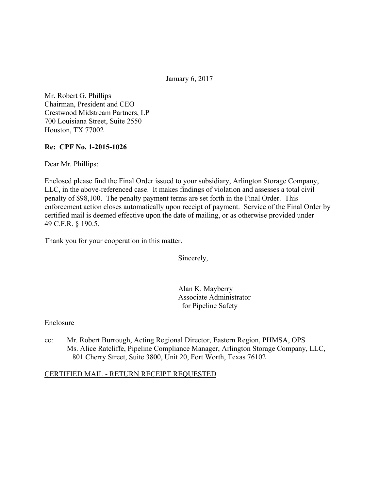January 6, 2017

Mr. Robert G. Phillips Chairman, President and CEO Crestwood Midstream Partners, LP 700 Louisiana Street, Suite 2550 Houston, TX 77002

## **Re: CPF No. 1-2015-1026**

Dear Mr. Phillips:

Enclosed please find the Final Order issued to your subsidiary, Arlington Storage Company, LLC, in the above-referenced case. It makes findings of violation and assesses a total civil penalty of \$98,100. The penalty payment terms are set forth in the Final Order. This enforcement action closes automatically upon receipt of payment. Service of the Final Order by certified mail is deemed effective upon the date of mailing, or as otherwise provided under 49 C.F.R. § 190.5.

Thank you for your cooperation in this matter.

Sincerely,

Alan K. Mayberry Associate Administrator for Pipeline Safety

### Enclosure

cc: Mr. Robert Burrough, Acting Regional Director, Eastern Region, PHMSA, OPS Ms. Alice Ratcliffe, Pipeline Compliance Manager, Arlington Storage Company, LLC, 801 Cherry Street, Suite 3800, Unit 20, Fort Worth, Texas 76102

### CERTIFIED MAIL - RETURN RECEIPT REQUESTED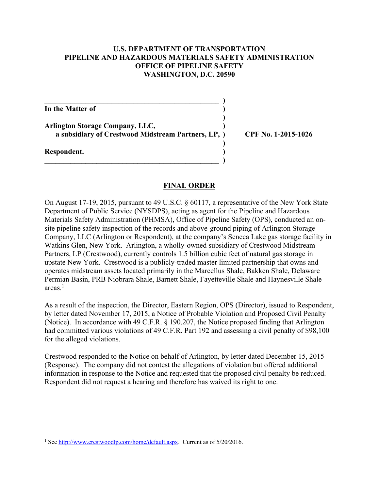### **U.S. DEPARTMENT OF TRANSPORTATION PIPELINE AND HAZARDOUS MATERIALS SAFETY ADMINISTRATION OFFICE OF PIPELINE SAFETY WASHINGTON, D.C. 20590**

**In the Matter of )** 

**Arlington Storage Company, LLC, ) a subsidiary of Crestwood Midstream Partners, LP, ) CPF No. 1-2015-1026** 

 $\overline{\phantom{a}}$ 

 **)** 

 **)** 

 $\overline{\phantom{a}}$  ,  $\overline{\phantom{a}}$  ,  $\overline{\phantom{a}}$  ,  $\overline{\phantom{a}}$  ,  $\overline{\phantom{a}}$  ,  $\overline{\phantom{a}}$  ,  $\overline{\phantom{a}}$  ,  $\overline{\phantom{a}}$  ,  $\overline{\phantom{a}}$  ,  $\overline{\phantom{a}}$  ,  $\overline{\phantom{a}}$  ,  $\overline{\phantom{a}}$  ,  $\overline{\phantom{a}}$  ,  $\overline{\phantom{a}}$  ,  $\overline{\phantom{a}}$  ,  $\overline{\phantom{a}}$ 

**Respondent. )** 

 $\overline{a}$ 

## **FINAL ORDER**

On August 17-19, 2015, pursuant to 49 U.S.C. § 60117, a representative of the New York State Department of Public Service (NYSDPS), acting as agent for the Pipeline and Hazardous Materials Safety Administration (PHMSA), Office of Pipeline Safety (OPS), conducted an onsite pipeline safety inspection of the records and above-ground piping of Arlington Storage Company, LLC (Arlington or Respondent), at the company's Seneca Lake gas storage facility in Watkins Glen, New York. Arlington, a wholly-owned subsidiary of Crestwood Midstream Partners, LP (Crestwood), currently controls 1.5 billion cubic feet of natural gas storage in upstate New York. Crestwood is a publicly-traded master limited partnership that owns and operates midstream assets located primarily in the Marcellus Shale, Bakken Shale, Delaware Permian Basin, PRB Niobrara Shale, Barnett Shale, Fayetteville Shale and Haynesville Shale  $area<sub>1</sub>$ 

As a result of the inspection, the Director, Eastern Region, OPS (Director), issued to Respondent, by letter dated November 17, 2015, a Notice of Probable Violation and Proposed Civil Penalty (Notice). In accordance with 49 C.F.R. § 190.207, the Notice proposed finding that Arlington had committed various violations of 49 C.F.R. Part 192 and assessing a civil penalty of \$98,100 for the alleged violations.

Crestwood responded to the Notice on behalf of Arlington, by letter dated December 15, 2015 (Response). The company did not contest the allegations of violation but offered additional information in response to the Notice and requested that the proposed civil penalty be reduced. Respondent did not request a hearing and therefore has waived its right to one.

<sup>&</sup>lt;sup>1</sup> See http://www.crestwoodlp.com/home/default.aspx. Current as of 5/20/2016.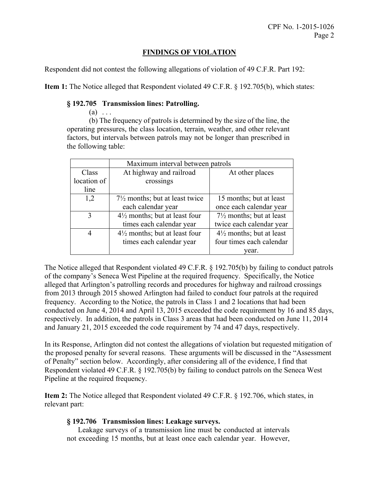# **FINDINGS OF VIOLATION**

Respondent did not contest the following allegations of violation of 49 C.F.R. Part 192:

**Item 1:** The Notice alleged that Respondent violated 49 C.F.R. § 192.705(b), which states:

#### **§ 192.705 Transmission lines: Patrolling.**

 $(a) \ldots$ 

 (b) The frequency of patrols is determined by the size of the line, the operating pressures, the class location, terrain, weather, and other relevant factors, but intervals between patrols may not be longer than prescribed in the following table:

|             | Maximum interval between patrols          |                                     |
|-------------|-------------------------------------------|-------------------------------------|
| Class       | At highway and railroad                   | At other places                     |
| location of | crossings                                 |                                     |
| line        |                                           |                                     |
| 1,2         | $7\frac{1}{2}$ months; but at least twice | 15 months; but at least             |
|             | each calendar year                        | once each calendar year             |
| 3           | $4\frac{1}{2}$ months; but at least four  | $7\frac{1}{2}$ months; but at least |
|             | times each calendar year                  | twice each calendar year            |
| 4           | $4\frac{1}{2}$ months; but at least four  | $4\frac{1}{2}$ months; but at least |
|             | times each calendar year                  | four times each calendar            |
|             |                                           | vear.                               |

The Notice alleged that Respondent violated 49 C.F.R. § 192.705(b) by failing to conduct patrols of the company's Seneca West Pipeline at the required frequency. Specifically, the Notice alleged that Arlington's patrolling records and procedures for highway and railroad crossings from 2013 through 2015 showed Arlington had failed to conduct four patrols at the required frequency. According to the Notice, the patrols in Class 1 and 2 locations that had been conducted on June 4, 2014 and April 13, 2015 exceeded the code requirement by 16 and 85 days, respectively. In addition, the patrols in Class 3 areas that had been conducted on June 11, 2014 and January 21, 2015 exceeded the code requirement by 74 and 47 days, respectively.

In its Response, Arlington did not contest the allegations of violation but requested mitigation of the proposed penalty for several reasons. These arguments will be discussed in the "Assessment of Penalty" section below. Accordingly, after considering all of the evidence, I find that Respondent violated 49 C.F.R. § 192.705(b) by failing to conduct patrols on the Seneca West Pipeline at the required frequency.

**Item 2:** The Notice alleged that Respondent violated 49 C.F.R. § 192.706, which states, in relevant part:

### **§ 192.706 Transmission lines: Leakage surveys.**

Leakage surveys of a transmission line must be conducted at intervals not exceeding 15 months, but at least once each calendar year. However,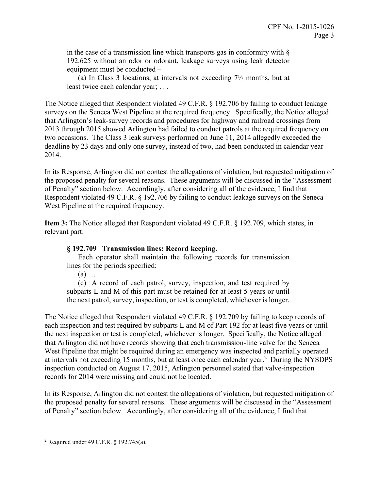in the case of a transmission line which transports gas in conformity with  $\S$ 192.625 without an odor or odorant, leakage surveys using leak detector equipment must be conducted –

(a) In Class 3 locations, at intervals not exceeding 7½ months, but at least twice each calendar year; . . .

The Notice alleged that Respondent violated 49 C.F.R. § 192.706 by failing to conduct leakage surveys on the Seneca West Pipeline at the required frequency. Specifically, the Notice alleged that Arlington's leak-survey records and procedures for highway and railroad crossings from 2013 through 2015 showed Arlington had failed to conduct patrols at the required frequency on two occasions. The Class 3 leak surveys performed on June 11, 2014 allegedly exceeded the deadline by 23 days and only one survey, instead of two, had been conducted in calendar year 2014.

In its Response, Arlington did not contest the allegations of violation, but requested mitigation of the proposed penalty for several reasons. These arguments will be discussed in the "Assessment of Penalty" section below. Accordingly, after considering all of the evidence, I find that Respondent violated 49 C.F.R. § 192.706 by failing to conduct leakage surveys on the Seneca West Pipeline at the required frequency.

**Item 3:** The Notice alleged that Respondent violated 49 C.F.R. § 192.709, which states, in relevant part:

# **§ 192.709 Transmission lines: Record keeping.**

Each operator shall maintain the following records for transmission lines for the periods specified:

(a) …

(c) A record of each patrol, survey, inspection, and test required by subparts L and M of this part must be retained for at least 5 years or until the next patrol, survey, inspection, or test is completed, whichever is longer.

The Notice alleged that Respondent violated 49 C.F.R. § 192.709 by failing to keep records of each inspection and test required by subparts L and M of Part 192 for at least five years or until the next inspection or test is completed, whichever is longer. Specifically, the Notice alleged that Arlington did not have records showing that each transmission-line valve for the Seneca West Pipeline that might be required during an emergency was inspected and partially operated at intervals not exceeding 15 months, but at least once each calendar year.<sup>2</sup> During the NYSDPS inspection conducted on August 17, 2015, Arlington personnel stated that valve-inspection records for 2014 were missing and could not be located.

In its Response, Arlington did not contest the allegations of violation, but requested mitigation of the proposed penalty for several reasons. These arguments will be discussed in the "Assessment of Penalty" section below. Accordingly, after considering all of the evidence, I find that

 $\overline{a}$ 

<sup>&</sup>lt;sup>2</sup> Required under 49 C.F.R. § 192.745(a).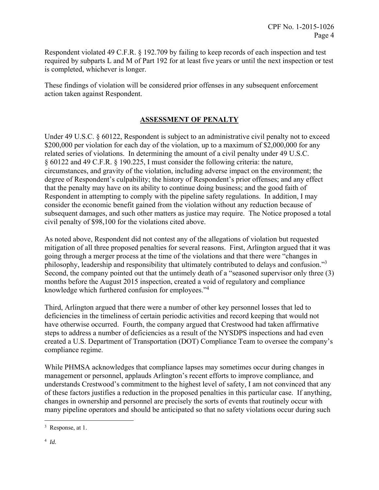Respondent violated 49 C.F.R. § 192.709 by failing to keep records of each inspection and test required by subparts L and M of Part 192 for at least five years or until the next inspection or test is completed, whichever is longer.

These findings of violation will be considered prior offenses in any subsequent enforcement action taken against Respondent.

# **ASSESSMENT OF PENALTY**

Under 49 U.S.C. § 60122, Respondent is subject to an administrative civil penalty not to exceed \$200,000 per violation for each day of the violation, up to a maximum of \$2,000,000 for any related series of violations. In determining the amount of a civil penalty under 49 U.S.C. § 60122 and 49 C.F.R. § 190.225, I must consider the following criteria: the nature, circumstances, and gravity of the violation, including adverse impact on the environment; the degree of Respondent's culpability; the history of Respondent's prior offenses; and any effect that the penalty may have on its ability to continue doing business; and the good faith of Respondent in attempting to comply with the pipeline safety regulations. In addition, I may consider the economic benefit gained from the violation without any reduction because of subsequent damages, and such other matters as justice may require. The Notice proposed a total civil penalty of \$98,100 for the violations cited above.

As noted above, Respondent did not contest any of the allegations of violation but requested mitigation of all three proposed penalties for several reasons. First, Arlington argued that it was going through a merger process at the time of the violations and that there were "changes in philosophy, leadership and responsibility that ultimately contributed to delays and confusion."<sup>3</sup> Second, the company pointed out that the untimely death of a "seasoned supervisor only three (3) months before the August 2015 inspection, created a void of regulatory and compliance knowledge which furthered confusion for employees."<sup>4</sup>

Third, Arlington argued that there were a number of other key personnel losses that led to deficiencies in the timeliness of certain periodic activities and record keeping that would not have otherwise occurred. Fourth, the company argued that Crestwood had taken affirmative steps to address a number of deficiencies as a result of the NYSDPS inspections and had even created a U.S. Department of Transportation (DOT) Compliance Team to oversee the company's compliance regime.

While PHMSA acknowledges that compliance lapses may sometimes occur during changes in management or personnel, applauds Arlington's recent efforts to improve compliance, and understands Crestwood's commitment to the highest level of safety, I am not convinced that any of these factors justifies a reduction in the proposed penalties in this particular case. If anything, changes in ownership and personnel are precisely the sorts of events that routinely occur with many pipeline operators and should be anticipated so that no safety violations occur during such

 $\overline{a}$ 

<sup>&</sup>lt;sup>3</sup> Response, at 1.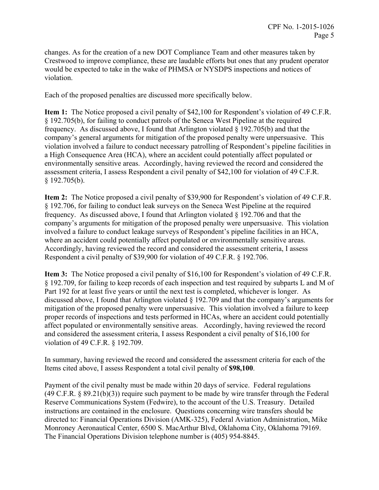changes. As for the creation of a new DOT Compliance Team and other measures taken by Crestwood to improve compliance, these are laudable efforts but ones that any prudent operator would be expected to take in the wake of PHMSA or NYSDPS inspections and notices of violation.

Each of the proposed penalties are discussed more specifically below.

**Item 1:** The Notice proposed a civil penalty of \$42,100 for Respondent's violation of 49 C.F.R. § 192.705(b), for failing to conduct patrols of the Seneca West Pipeline at the required frequency. As discussed above, I found that Arlington violated § 192.705(b) and that the company's general arguments for mitigation of the proposed penalty were unpersuasive. This violation involved a failure to conduct necessary patrolling of Respondent's pipeline facilities in a High Consequence Area (HCA), where an accident could potentially affect populated or environmentally sensitive areas. Accordingly, having reviewed the record and considered the assessment criteria, I assess Respondent a civil penalty of \$42,100 for violation of 49 C.F.R. § 192.705(b).

**Item 2:** The Notice proposed a civil penalty of \$39,900 for Respondent's violation of 49 C.F.R. § 192.706, for failing to conduct leak surveys on the Seneca West Pipeline at the required frequency. As discussed above, I found that Arlington violated § 192.706 and that the company's arguments for mitigation of the proposed penalty were unpersuasive. This violation involved a failure to conduct leakage surveys of Respondent's pipeline facilities in an HCA, where an accident could potentially affect populated or environmentally sensitive areas. Accordingly, having reviewed the record and considered the assessment criteria, I assess Respondent a civil penalty of \$39,900 for violation of 49 C.F.R. § 192.706.

**Item 3:** The Notice proposed a civil penalty of \$16,100 for Respondent's violation of 49 C.F.R. § 192.709, for failing to keep records of each inspection and test required by subparts L and M of Part 192 for at least five years or until the next test is completed, whichever is longer. As discussed above, I found that Arlington violated § 192.709 and that the company's arguments for mitigation of the proposed penalty were unpersuasive. This violation involved a failure to keep proper records of inspections and tests performed in HCAs, where an accident could potentially affect populated or environmentally sensitive areas. Accordingly, having reviewed the record and considered the assessment criteria, I assess Respondent a civil penalty of \$16,100 for violation of 49 C.F.R. § 192.709.

In summary, having reviewed the record and considered the assessment criteria for each of the Items cited above, I assess Respondent a total civil penalty of **\$98,100**.

Payment of the civil penalty must be made within 20 days of service. Federal regulations  $(49 \text{ C.F.R. } 8 \text{ } 89.21 \text{ (b)}(3))$  require such payment to be made by wire transfer through the Federal Reserve Communications System (Fedwire), to the account of the U.S. Treasury. Detailed instructions are contained in the enclosure. Questions concerning wire transfers should be directed to: Financial Operations Division (AMK-325), Federal Aviation Administration, Mike Monroney Aeronautical Center, 6500 S. MacArthur Blvd, Oklahoma City, Oklahoma 79169. The Financial Operations Division telephone number is (405) 954-8845.